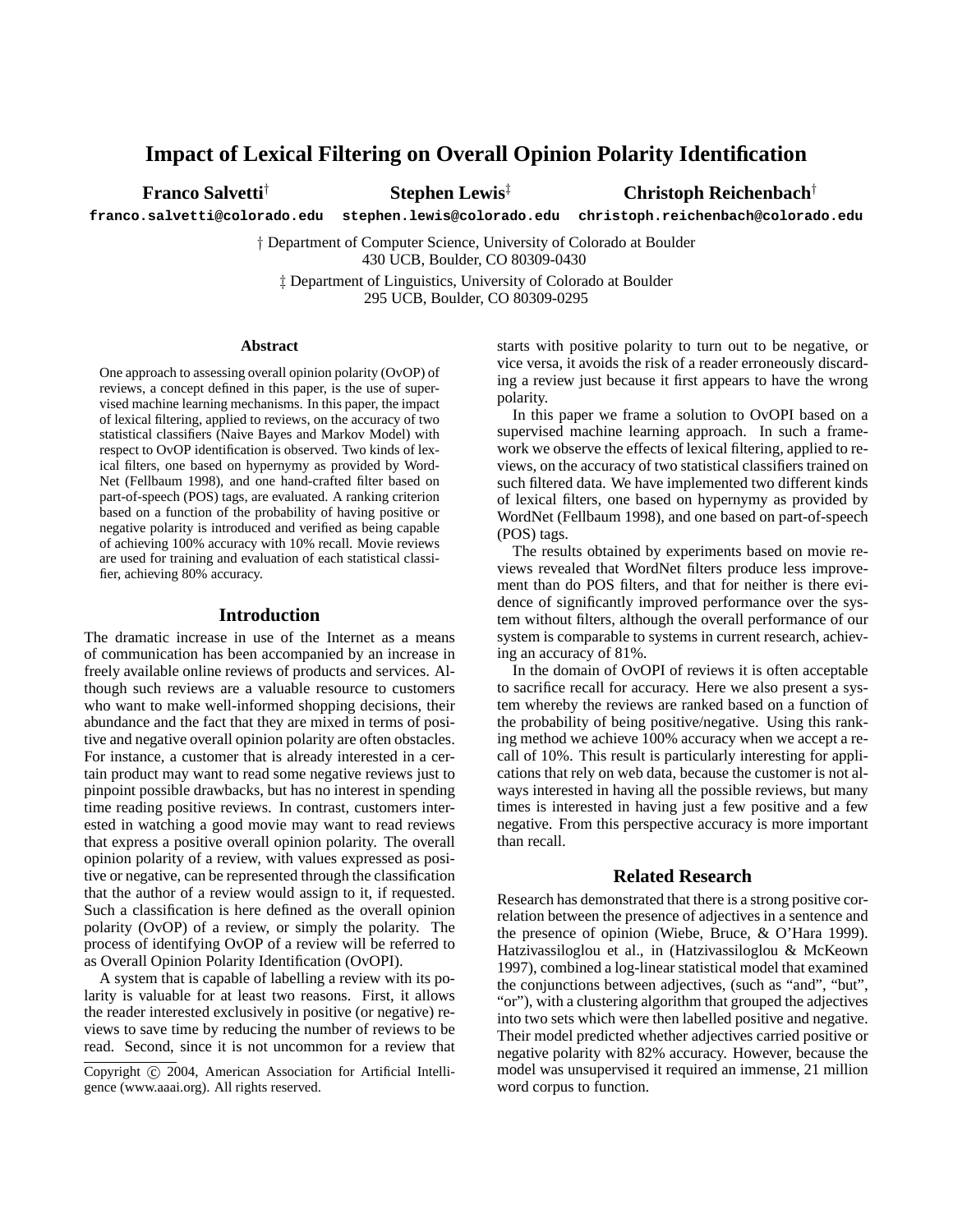# **Impact of Lexical Filtering on Overall Opinion Polarity Identification**

**Franco Salvetti**† **Stephen Lewis**‡ **Christoph Reichenbach**†

**franco.salvetti@colorado.edu stephen.lewis@colorado.edu christoph.reichenbach@colorado.edu**

† Department of Computer Science, University of Colorado at Boulder 430 UCB, Boulder, CO 80309-0430

‡ Department of Linguistics, University of Colorado at Boulder 295 UCB, Boulder, CO 80309-0295

#### **Abstract**

One approach to assessing overall opinion polarity (OvOP) of reviews, a concept defined in this paper, is the use of supervised machine learning mechanisms. In this paper, the impact of lexical filtering, applied to reviews, on the accuracy of two statistical classifiers (Naive Bayes and Markov Model) with respect to OvOP identification is observed. Two kinds of lexical filters, one based on hypernymy as provided by Word-Net (Fellbaum 1998), and one hand-crafted filter based on part-of-speech (POS) tags, are evaluated. A ranking criterion based on a function of the probability of having positive or negative polarity is introduced and verified as being capable of achieving 100% accuracy with 10% recall. Movie reviews are used for training and evaluation of each statistical classifier, achieving 80% accuracy.

#### **Introduction**

The dramatic increase in use of the Internet as a means of communication has been accompanied by an increase in freely available online reviews of products and services. Although such reviews are a valuable resource to customers who want to make well-informed shopping decisions, their abundance and the fact that they are mixed in terms of positive and negative overall opinion polarity are often obstacles. For instance, a customer that is already interested in a certain product may want to read some negative reviews just to pinpoint possible drawbacks, but has no interest in spending time reading positive reviews. In contrast, customers interested in watching a good movie may want to read reviews that express a positive overall opinion polarity. The overall opinion polarity of a review, with values expressed as positive or negative, can be represented through the classification that the author of a review would assign to it, if requested. Such a classification is here defined as the overall opinion polarity (OvOP) of a review, or simply the polarity. The process of identifying OvOP of a review will be referred to as Overall Opinion Polarity Identification (OvOPI).

A system that is capable of labelling a review with its polarity is valuable for at least two reasons. First, it allows the reader interested exclusively in positive (or negative) reviews to save time by reducing the number of reviews to be read. Second, since it is not uncommon for a review that starts with positive polarity to turn out to be negative, or vice versa, it avoids the risk of a reader erroneously discarding a review just because it first appears to have the wrong polarity.

In this paper we frame a solution to OvOPI based on a supervised machine learning approach. In such a framework we observe the effects of lexical filtering, applied to reviews, on the accuracy of two statistical classifiers trained on such filtered data. We have implemented two different kinds of lexical filters, one based on hypernymy as provided by WordNet (Fellbaum 1998), and one based on part-of-speech (POS) tags.

The results obtained by experiments based on movie reviews revealed that WordNet filters produce less improvement than do POS filters, and that for neither is there evidence of significantly improved performance over the system without filters, although the overall performance of our system is comparable to systems in current research, achieving an accuracy of 81%.

In the domain of OvOPI of reviews it is often acceptable to sacrifice recall for accuracy. Here we also present a system whereby the reviews are ranked based on a function of the probability of being positive/negative. Using this ranking method we achieve 100% accuracy when we accept a recall of 10%. This result is particularly interesting for applications that rely on web data, because the customer is not always interested in having all the possible reviews, but many times is interested in having just a few positive and a few negative. From this perspective accuracy is more important than recall.

## **Related Research**

Research has demonstrated that there is a strong positive correlation between the presence of adjectives in a sentence and the presence of opinion (Wiebe, Bruce, & O'Hara 1999). Hatzivassiloglou et al., in (Hatzivassiloglou & McKeown 1997), combined a log-linear statistical model that examined the conjunctions between adjectives, (such as "and", "but", "or"), with a clustering algorithm that grouped the adjectives into two sets which were then labelled positive and negative. Their model predicted whether adjectives carried positive or negative polarity with 82% accuracy. However, because the model was unsupervised it required an immense, 21 million word corpus to function.

Copyright (c) 2004, American Association for Artificial Intelligence (www.aaai.org). All rights reserved.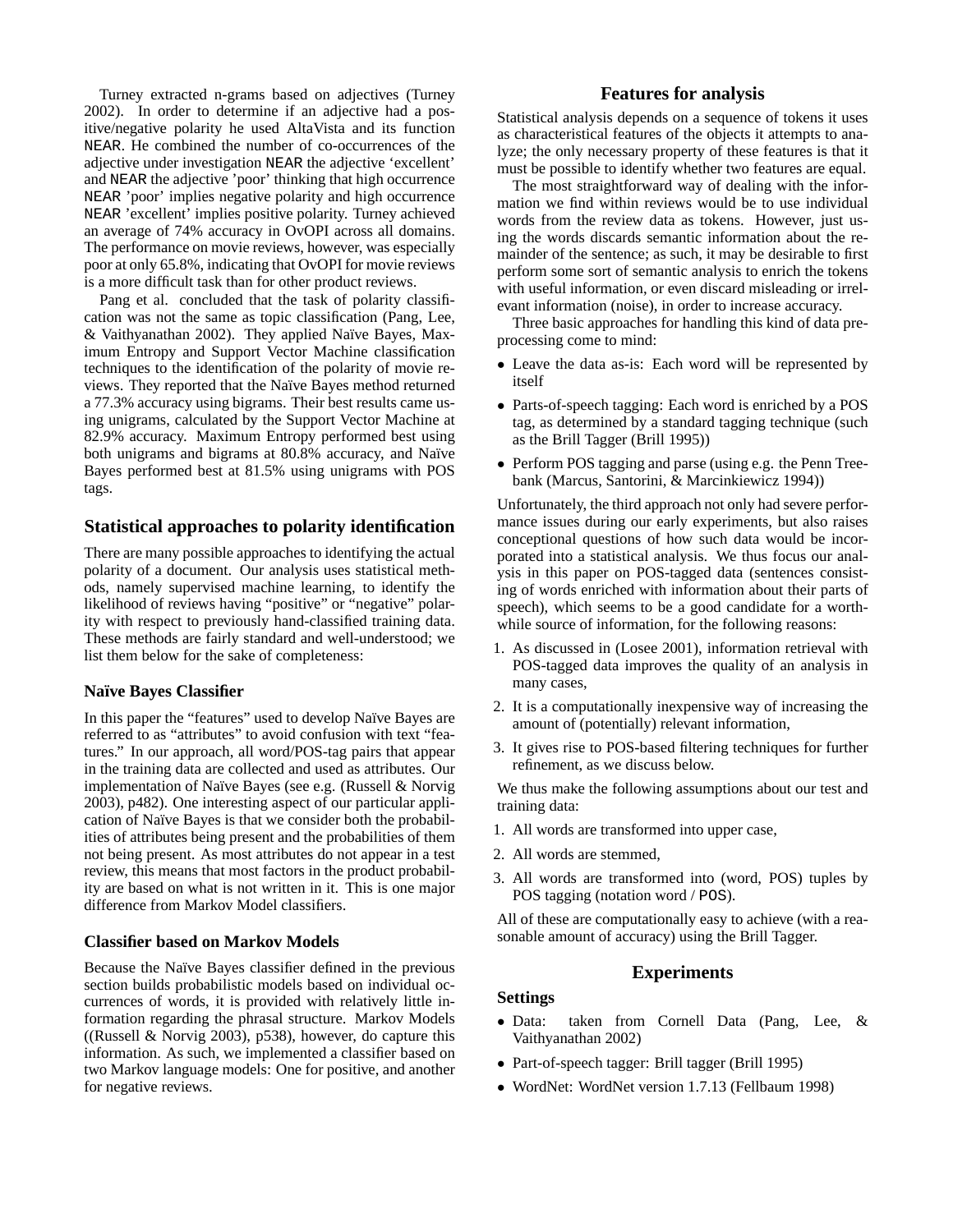Turney extracted n-grams based on adjectives (Turney 2002). In order to determine if an adjective had a positive/negative polarity he used AltaVista and its function NEAR. He combined the number of co-occurrences of the adjective under investigation NEAR the adjective 'excellent' and NEAR the adjective 'poor' thinking that high occurrence NEAR 'poor' implies negative polarity and high occurrence NEAR 'excellent' implies positive polarity. Turney achieved an average of 74% accuracy in OvOPI across all domains. The performance on movie reviews, however, was especially poor at only 65.8%, indicating that OvOPI for movie reviews is a more difficult task than for other product reviews.

Pang et al. concluded that the task of polarity classification was not the same as topic classification (Pang, Lee, & Vaithyanathan 2002). They applied Naïve Bayes, Maximum Entropy and Support Vector Machine classification techniques to the identification of the polarity of movie reviews. They reported that the Na¨ıve Bayes method returned a 77.3% accuracy using bigrams. Their best results came using unigrams, calculated by the Support Vector Machine at 82.9% accuracy. Maximum Entropy performed best using both unigrams and bigrams at 80.8% accuracy, and Naïve Bayes performed best at 81.5% using unigrams with POS tags.

## **Statistical approaches to polarity identification**

There are many possible approaches to identifying the actual polarity of a document. Our analysis uses statistical methods, namely supervised machine learning, to identify the likelihood of reviews having "positive" or "negative" polarity with respect to previously hand-classified training data. These methods are fairly standard and well-understood; we list them below for the sake of completeness:

## **Na¨ıve Bayes Classifier**

In this paper the "features" used to develop Naïve Bayes are referred to as "attributes" to avoid confusion with text "features." In our approach, all word/POS-tag pairs that appear in the training data are collected and used as attributes. Our implementation of Naïve Bayes (see e.g. (Russell & Norvig 2003), p482). One interesting aspect of our particular application of Naïve Bayes is that we consider both the probabilities of attributes being present and the probabilities of them not being present. As most attributes do not appear in a test review, this means that most factors in the product probability are based on what is not written in it. This is one major difference from Markov Model classifiers.

## **Classifier based on Markov Models**

Because the Naïve Bayes classifier defined in the previous section builds probabilistic models based on individual occurrences of words, it is provided with relatively little information regarding the phrasal structure. Markov Models ((Russell & Norvig 2003), p538), however, do capture this information. As such, we implemented a classifier based on two Markov language models: One for positive, and another for negative reviews.

## **Features for analysis**

Statistical analysis depends on a sequence of tokens it uses as characteristical features of the objects it attempts to analyze; the only necessary property of these features is that it must be possible to identify whether two features are equal.

The most straightforward way of dealing with the information we find within reviews would be to use individual words from the review data as tokens. However, just using the words discards semantic information about the remainder of the sentence; as such, it may be desirable to first perform some sort of semantic analysis to enrich the tokens with useful information, or even discard misleading or irrelevant information (noise), in order to increase accuracy.

Three basic approaches for handling this kind of data preprocessing come to mind:

- Leave the data as-is: Each word will be represented by itself
- Parts-of-speech tagging: Each word is enriched by a POS tag, as determined by a standard tagging technique (such as the Brill Tagger (Brill 1995))
- Perform POS tagging and parse (using e.g. the Penn Treebank (Marcus, Santorini, & Marcinkiewicz 1994))

Unfortunately, the third approach not only had severe performance issues during our early experiments, but also raises conceptional questions of how such data would be incorporated into a statistical analysis. We thus focus our analysis in this paper on POS-tagged data (sentences consisting of words enriched with information about their parts of speech), which seems to be a good candidate for a worthwhile source of information, for the following reasons:

- 1. As discussed in (Losee 2001), information retrieval with POS-tagged data improves the quality of an analysis in many cases,
- 2. It is a computationally inexpensive way of increasing the amount of (potentially) relevant information,
- 3. It gives rise to POS-based filtering techniques for further refinement, as we discuss below.

We thus make the following assumptions about our test and training data:

- 1. All words are transformed into upper case,
- 2. All words are stemmed,
- 3. All words are transformed into (word, POS) tuples by POS tagging (notation word / POS).

All of these are computationally easy to achieve (with a reasonable amount of accuracy) using the Brill Tagger.

## **Experiments**

## **Settings**

- Data: taken from Cornell Data (Pang, Lee, & Vaithyanathan 2002)
- Part-of-speech tagger: Brill tagger (Brill 1995)
- WordNet: WordNet version 1.7.13 (Fellbaum 1998)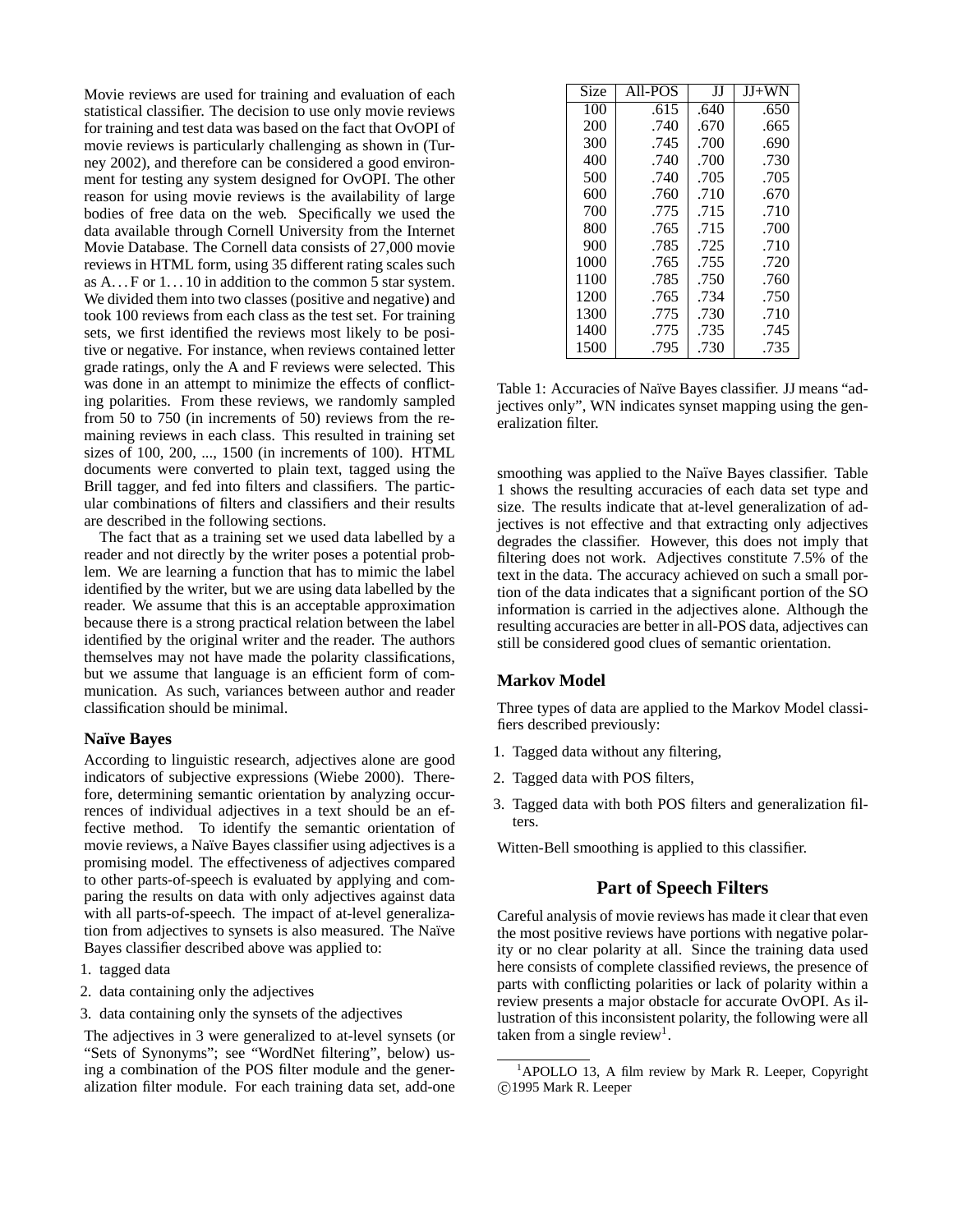Movie reviews are used for training and evaluation of each statistical classifier. The decision to use only movie reviews for training and test data was based on the fact that OvOPI of movie reviews is particularly challenging as shown in (Turney 2002), and therefore can be considered a good environment for testing any system designed for OvOPI. The other reason for using movie reviews is the availability of large bodies of free data on the web. Specifically we used the data available through Cornell University from the Internet Movie Database. The Cornell data consists of 27,000 movie reviews in HTML form, using 35 different rating scales such as  $A...$  F or  $1...10$  in addition to the common 5 star system. We divided them into two classes (positive and negative) and took 100 reviews from each class as the test set. For training sets, we first identified the reviews most likely to be positive or negative. For instance, when reviews contained letter grade ratings, only the A and F reviews were selected. This was done in an attempt to minimize the effects of conflicting polarities. From these reviews, we randomly sampled from 50 to 750 (in increments of 50) reviews from the remaining reviews in each class. This resulted in training set sizes of 100, 200, ..., 1500 (in increments of 100). HTML documents were converted to plain text, tagged using the Brill tagger, and fed into filters and classifiers. The particular combinations of filters and classifiers and their results are described in the following sections.

The fact that as a training set we used data labelled by a reader and not directly by the writer poses a potential problem. We are learning a function that has to mimic the label identified by the writer, but we are using data labelled by the reader. We assume that this is an acceptable approximation because there is a strong practical relation between the label identified by the original writer and the reader. The authors themselves may not have made the polarity classifications, but we assume that language is an efficient form of communication. As such, variances between author and reader classification should be minimal.

### **Na¨ıve Bayes**

According to linguistic research, adjectives alone are good indicators of subjective expressions (Wiebe 2000). Therefore, determining semantic orientation by analyzing occurrences of individual adjectives in a text should be an effective method. To identify the semantic orientation of movie reviews, a Naïve Bayes classifier using adjectives is a promising model. The effectiveness of adjectives compared to other parts-of-speech is evaluated by applying and comparing the results on data with only adjectives against data with all parts-of-speech. The impact of at-level generalization from adjectives to synsets is also measured. The Naïve Bayes classifier described above was applied to:

- 1. tagged data
- 2. data containing only the adjectives
- 3. data containing only the synsets of the adjectives

The adjectives in 3 were generalized to at-level synsets (or "Sets of Synonyms"; see "WordNet filtering", below) using a combination of the POS filter module and the generalization filter module. For each training data set, add-one

| Size | All-POS | Н    | $JJ+WN$ |
|------|---------|------|---------|
| 100  | .615    | .640 | .650    |
| 200  | .740    | .670 | .665    |
| 300  | .745    | .700 | .690    |
| 400  | .740    | .700 | .730    |
| 500  | .740    | .705 | .705    |
| 600  | .760    | .710 | .670    |
| 700  | .775    | .715 | .710    |
| 800  | .765    | .715 | .700    |
| 900  | .785    | .725 | .710    |
| 1000 | .765    | .755 | .720    |
| 1100 | .785    | .750 | .760    |
| 1200 | .765    | .734 | .750    |
| 1300 | .775    | .730 | .710    |
| 1400 | .775    | .735 | .745    |
| 1500 | .795    | .730 | .735    |

Table 1: Accuracies of Naïve Bayes classifier. JJ means "adjectives only", WN indicates synset mapping using the generalization filter.

smoothing was applied to the Naïve Bayes classifier. Table 1 shows the resulting accuracies of each data set type and size. The results indicate that at-level generalization of adjectives is not effective and that extracting only adjectives degrades the classifier. However, this does not imply that filtering does not work. Adjectives constitute 7.5% of the text in the data. The accuracy achieved on such a small portion of the data indicates that a significant portion of the SO information is carried in the adjectives alone. Although the resulting accuracies are better in all-POS data, adjectives can still be considered good clues of semantic orientation.

#### **Markov Model**

Three types of data are applied to the Markov Model classifiers described previously:

- 1. Tagged data without any filtering,
- 2. Tagged data with POS filters,
- 3. Tagged data with both POS filters and generalization filters.
- Witten-Bell smoothing is applied to this classifier.

## **Part of Speech Filters**

Careful analysis of movie reviews has made it clear that even the most positive reviews have portions with negative polarity or no clear polarity at all. Since the training data used here consists of complete classified reviews, the presence of parts with conflicting polarities or lack of polarity within a review presents a major obstacle for accurate OvOPI. As illustration of this inconsistent polarity, the following were all taken from a single review<sup>1</sup>.

 $1$ APOLLO 13, A film review by Mark R. Leeper, Copyright c 1995 Mark R. Leeper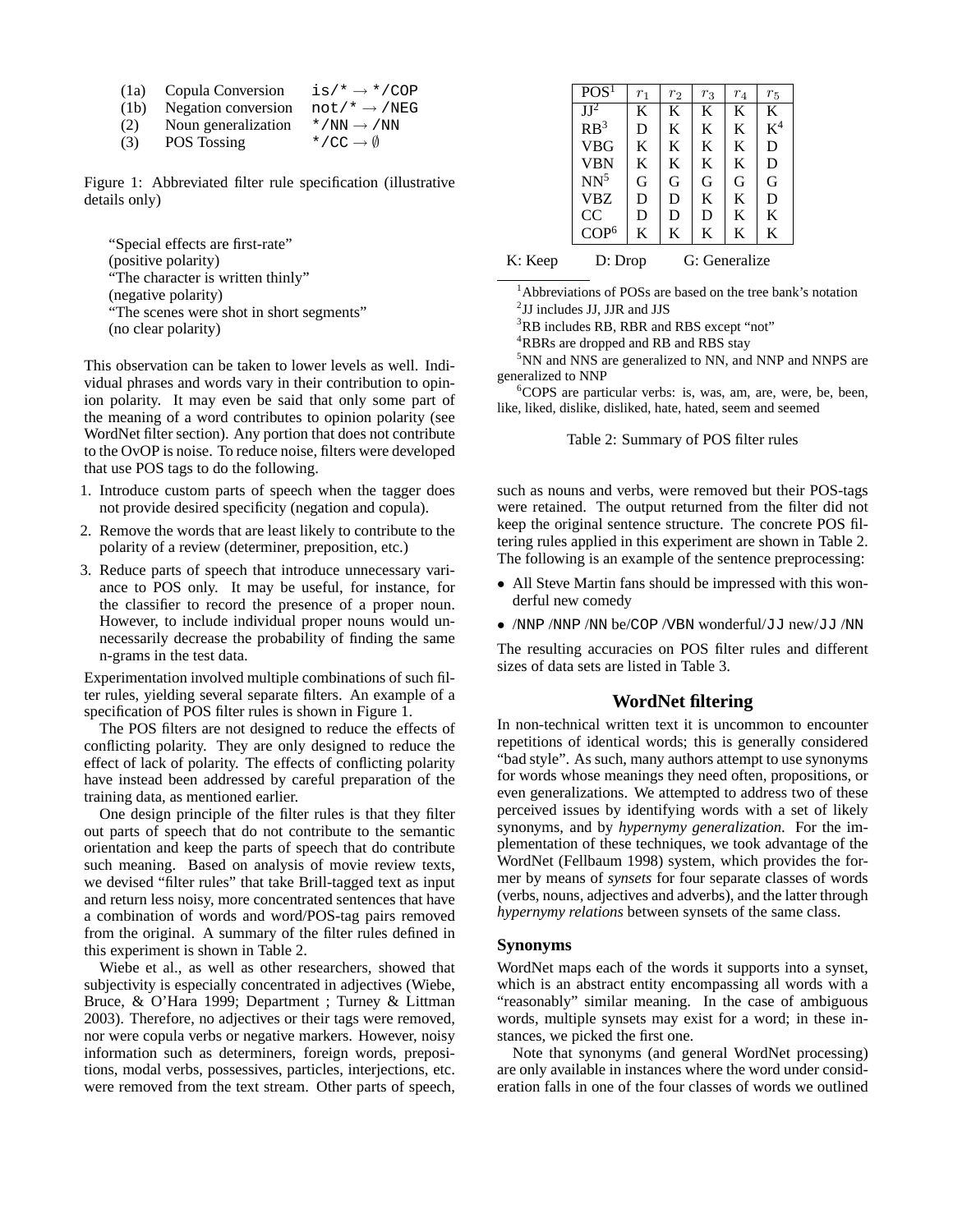| (1a) | Copula Conversion   | $is/\star \rightarrow \star$ /COP |
|------|---------------------|-----------------------------------|
| (1b) | Negation conversion | $not/* \rightarrow /NEG$          |
| (2)  | Noun generalization | $* / NN \rightarrow / NN$         |
| (3)  | POS Tossing         | */CC $\rightarrow$ 0              |

Figure 1: Abbreviated filter rule specification (illustrative details only)

"Special effects are first-rate" (positive polarity) "The character is written thinly" (negative polarity) "The scenes were shot in short segments" (no clear polarity)

This observation can be taken to lower levels as well. Individual phrases and words vary in their contribution to opinion polarity. It may even be said that only some part of the meaning of a word contributes to opinion polarity (see WordNet filter section). Any portion that does not contribute to the OvOP is noise. To reduce noise, filters were developed that use POS tags to do the following.

- 1. Introduce custom parts of speech when the tagger does not provide desired specificity (negation and copula).
- 2. Remove the words that are least likely to contribute to the polarity of a review (determiner, preposition, etc.)
- 3. Reduce parts of speech that introduce unnecessary variance to POS only. It may be useful, for instance, for the classifier to record the presence of a proper noun. However, to include individual proper nouns would unnecessarily decrease the probability of finding the same n-grams in the test data.

Experimentation involved multiple combinations of such filter rules, yielding several separate filters. An example of a specification of POS filter rules is shown in Figure 1.

The POS filters are not designed to reduce the effects of conflicting polarity. They are only designed to reduce the effect of lack of polarity. The effects of conflicting polarity have instead been addressed by careful preparation of the training data, as mentioned earlier.

One design principle of the filter rules is that they filter out parts of speech that do not contribute to the semantic orientation and keep the parts of speech that do contribute such meaning. Based on analysis of movie review texts, we devised "filter rules" that take Brill-tagged text as input and return less noisy, more concentrated sentences that have a combination of words and word/POS-tag pairs removed from the original. A summary of the filter rules defined in this experiment is shown in Table 2.

Wiebe et al., as well as other researchers, showed that subjectivity is especially concentrated in adjectives (Wiebe, Bruce, & O'Hara 1999; Department ; Turney & Littman 2003). Therefore, no adjectives or their tags were removed, nor were copula verbs or negative markers. However, noisy information such as determiners, foreign words, prepositions, modal verbs, possessives, particles, interjections, etc. were removed from the text stream. Other parts of speech,

| POS <sup>1</sup> | $r_1$ | $r_2$ | $r_{3}% \rightarrow\gamma\gamma$ | $r_4$ | $r_5$ |
|------------------|-------|-------|----------------------------------|-------|-------|
| $JI^2$           | K     | K     | K                                | K     | K     |
| RB <sup>3</sup>  | D     | K     | K                                | K     | $K^4$ |
| <b>VBG</b>       | K     | K     | K                                | K     | D     |
| <b>VBN</b>       | K     | K     | K                                | K     | D     |
| $NN^5$           | G     | G     | G                                | G     | G     |
| <b>VBZ</b>       | D     | D     | K                                | K     | D     |
| CC               | D     | D     | D                                | K     | K     |
| COP <sup>6</sup> | K     | K     | K                                | K     | K     |
|                  |       |       |                                  |       |       |

K: Keep D: Drop G: Generalize

<sup>1</sup>Abbreviations of POSs are based on the tree bank's notation 2 JJ includes JJ, JJR and JJS

<sup>3</sup>RB includes RB, RBR and RBS except "not"

<sup>4</sup>RBRs are dropped and RB and RBS stay

<sup>5</sup>NN and NNS are generalized to NN, and NNP and NNPS are generalized to NNP

 ${}^{6}$ COPS are particular verbs: is, was, am, are, were, be, been, like, liked, dislike, disliked, hate, hated, seem and seemed

Table 2: Summary of POS filter rules

such as nouns and verbs, were removed but their POS-tags were retained. The output returned from the filter did not keep the original sentence structure. The concrete POS filtering rules applied in this experiment are shown in Table 2. The following is an example of the sentence preprocessing:

- All Steve Martin fans should be impressed with this wonderful new comedy
- /NNP /NNP /NN be/COP /VBN wonderful/JJ new/JJ /NN

The resulting accuracies on POS filter rules and different sizes of data sets are listed in Table 3.

### **WordNet filtering**

In non-technical written text it is uncommon to encounter repetitions of identical words; this is generally considered "bad style". As such, many authors attempt to use synonyms for words whose meanings they need often, propositions, or even generalizations. We attempted to address two of these perceived issues by identifying words with a set of likely synonyms, and by *hypernymy generalization*. For the implementation of these techniques, we took advantage of the WordNet (Fellbaum 1998) system, which provides the former by means of *synsets* for four separate classes of words (verbs, nouns, adjectives and adverbs), and the latter through *hypernymy relations* between synsets of the same class.

### **Synonyms**

WordNet maps each of the words it supports into a synset, which is an abstract entity encompassing all words with a "reasonably" similar meaning. In the case of ambiguous words, multiple synsets may exist for a word; in these instances, we picked the first one.

Note that synonyms (and general WordNet processing) are only available in instances where the word under consideration falls in one of the four classes of words we outlined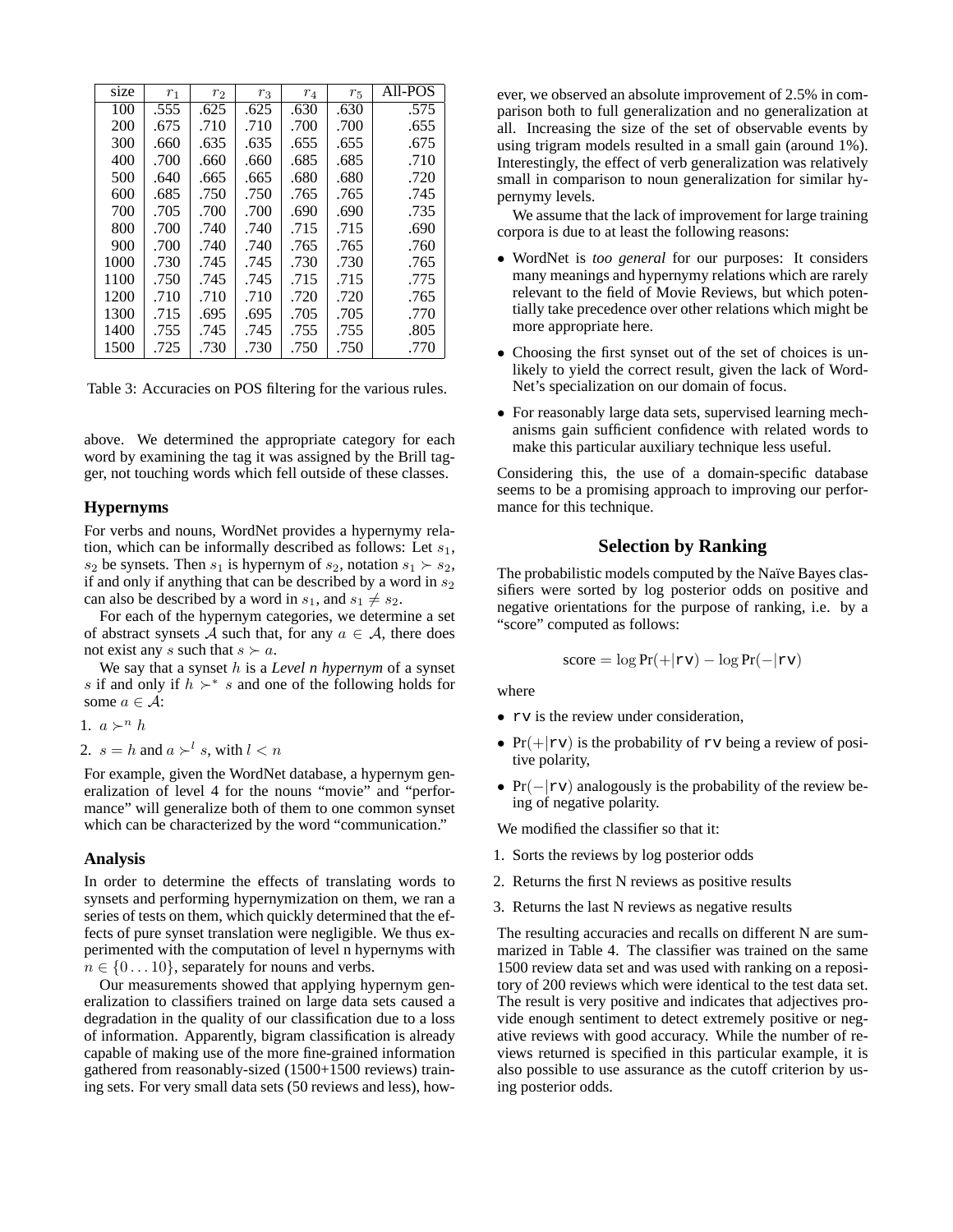| size | $r_1$ | r <sub>2</sub> | $r_3$ | $r_4$ | $r_{5}$ | All-POS |
|------|-------|----------------|-------|-------|---------|---------|
| 100  | .555  | .625           | .625  | .630  | .630    | .575    |
| 200  | .675  | .710           | .710  | .700  | .700    | .655    |
| 300  | .660  | .635           | .635  | .655  | .655    | .675    |
| 400  | .700  | .660           | .660  | .685  | .685    | .710    |
| 500  | .640  | .665           | .665  | .680  | .680    | .720    |
| 600  | .685  | .750           | .750  | .765  | .765    | .745    |
| 700  | .705  | .700           | .700  | .690  | .690    | .735    |
| 800  | .700  | .740           | .740  | .715  | .715    | .690    |
| 900  | .700  | .740           | .740  | .765  | .765    | .760    |
| 1000 | .730  | .745           | .745  | .730  | .730    | .765    |
| 1100 | .750  | .745           | .745  | .715  | .715    | .775    |
| 1200 | .710  | .710           | .710  | .720  | .720    | .765    |
| 1300 | .715  | .695           | .695  | .705  | .705    | .770    |
| 1400 | .755  | .745           | .745  | .755  | .755    | .805    |
| 1500 | .725  | .730           | .730  | .750  | .750    | .770    |

Table 3: Accuracies on POS filtering for the various rules.

above. We determined the appropriate category for each word by examining the tag it was assigned by the Brill tagger, not touching words which fell outside of these classes.

### **Hypernyms**

For verbs and nouns, WordNet provides a hypernymy relation, which can be informally described as follows: Let  $s_1$ ,  $s_2$  be synsets. Then  $s_1$  is hypernym of  $s_2$ , notation  $s_1 \succ s_2$ , if and only if anything that can be described by a word in  $s_2$ can also be described by a word in  $s_1$ , and  $s_1 \neq s_2$ .

For each of the hypernym categories, we determine a set of abstract synsets A such that, for any  $a \in A$ , there does not exist any s such that  $s \succ a$ .

We say that a synset h is a *Level n hypernym* of a synset s if and only if  $h \succ^* s$  and one of the following holds for some  $a \in \mathcal{A}$ :

1. 
$$
a \succ^n h
$$

2.  $s = h$  and  $a \succ^l s$ , with  $l < n$ 

For example, given the WordNet database, a hypernym generalization of level 4 for the nouns "movie" and "performance" will generalize both of them to one common synset which can be characterized by the word "communication."

#### **Analysis**

In order to determine the effects of translating words to synsets and performing hypernymization on them, we ran a series of tests on them, which quickly determined that the effects of pure synset translation were negligible. We thus experimented with the computation of level n hypernyms with  $n \in \{0 \dots 10\}$ , separately for nouns and verbs.

Our measurements showed that applying hypernym generalization to classifiers trained on large data sets caused a degradation in the quality of our classification due to a loss of information. Apparently, bigram classification is already capable of making use of the more fine-grained information gathered from reasonably-sized (1500+1500 reviews) training sets. For very small data sets (50 reviews and less), how-

ever, we observed an absolute improvement of 2.5% in comparison both to full generalization and no generalization at all. Increasing the size of the set of observable events by using trigram models resulted in a small gain (around 1%). Interestingly, the effect of verb generalization was relatively small in comparison to noun generalization for similar hypernymy levels.

We assume that the lack of improvement for large training corpora is due to at least the following reasons:

- WordNet is *too general* for our purposes: It considers many meanings and hypernymy relations which are rarely relevant to the field of Movie Reviews, but which potentially take precedence over other relations which might be more appropriate here.
- Choosing the first synset out of the set of choices is unlikely to yield the correct result, given the lack of Word-Net's specialization on our domain of focus.
- For reasonably large data sets, supervised learning mechanisms gain sufficient confidence with related words to make this particular auxiliary technique less useful.

Considering this, the use of a domain-specific database seems to be a promising approach to improving our performance for this technique.

## **Selection by Ranking**

The probabilistic models computed by the Naïve Bayes classifiers were sorted by log posterior odds on positive and negative orientations for the purpose of ranking, i.e. by a "score" computed as follows:

$$
score = \log Pr(+|rv) - \log Pr(-|rv)
$$

where

- rv is the review under consideration,
- $Pr(+|rv)$  is the probability of rv being a review of positive polarity,
- Pr( $-|rv$ ) analogously is the probability of the review being of negative polarity.

We modified the classifier so that it:

- 1. Sorts the reviews by log posterior odds
- 2. Returns the first N reviews as positive results
- 3. Returns the last N reviews as negative results

The resulting accuracies and recalls on different N are summarized in Table 4. The classifier was trained on the same 1500 review data set and was used with ranking on a repository of 200 reviews which were identical to the test data set. The result is very positive and indicates that adjectives provide enough sentiment to detect extremely positive or negative reviews with good accuracy. While the number of reviews returned is specified in this particular example, it is also possible to use assurance as the cutoff criterion by using posterior odds.